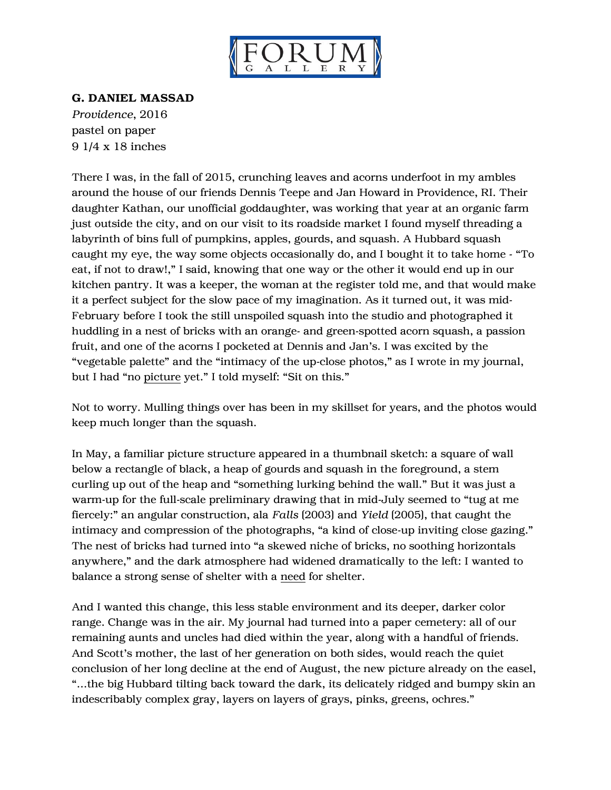

## G. DANIEL MASSAD

*Providence*, 2016 pastel on paper 9 1/4 x 18 inches

There I was, in the fall of 2015, crunching leaves and acorns underfoot in my ambles around the house of our friends Dennis Teepe and Jan Howard in Providence, RI. Their daughter Kathan, our unofficial goddaughter, was working that year at an organic farm just outside the city, and on our visit to its roadside market I found myself threading a labyrinth of bins full of pumpkins, apples, gourds, and squash. A Hubbard squash caught my eye, the way some objects occasionally do, and I bought it to take home - "To eat, if not to draw!," I said, knowing that one way or the other it would end up in our kitchen pantry. It was a keeper, the woman at the register told me, and that would make it a perfect subject for the slow pace of my imagination. As it turned out, it was mid-February before I took the still unspoiled squash into the studio and photographed it huddling in a nest of bricks with an orange- and green-spotted acorn squash, a passion fruit, and one of the acorns I pocketed at Dennis and Jan's. I was excited by the "vegetable palette" and the "intimacy of the up-close photos," as I wrote in my journal, but I had "no picture yet." I told myself: "Sit on this."

Not to worry. Mulling things over has been in my skillset for years, and the photos would keep much longer than the squash.

In May, a familiar picture structure appeared in a thumbnail sketch: a square of wall below a rectangle of black, a heap of gourds and squash in the foreground, a stem curling up out of the heap and "something lurking behind the wall." But it was just a warm-up for the full-scale preliminary drawing that in mid-July seemed to "tug at me fiercely:" an angular construction, ala *Falls* (2003) and *Yield* (2005), that caught the intimacy and compression of the photographs, "a kind of close-up inviting close gazing." The nest of bricks had turned into "a skewed niche of bricks, no soothing horizontals anywhere," and the dark atmosphere had widened dramatically to the left: I wanted to balance a strong sense of shelter with a need for shelter.

And I wanted this change, this less stable environment and its deeper, darker color range. Change was in the air. My journal had turned into a paper cemetery: all of our remaining aunts and uncles had died within the year, along with a handful of friends. And Scott's mother, the last of her generation on both sides, would reach the quiet conclusion of her long decline at the end of August, the new picture already on the easel, "…the big Hubbard tilting back toward the dark, its delicately ridged and bumpy skin an indescribably complex gray, layers on layers of grays, pinks, greens, ochres."